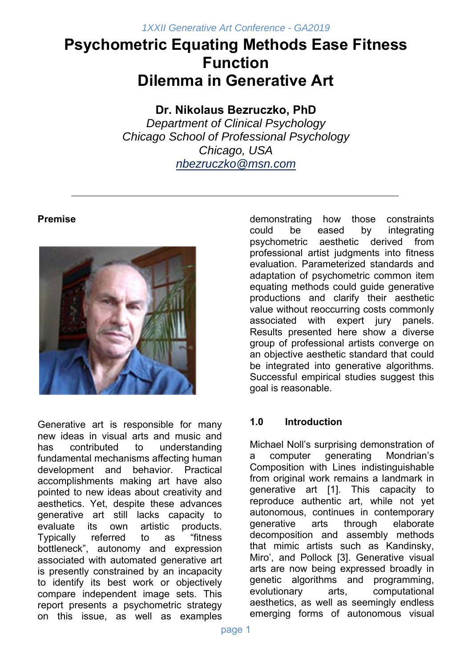# **Psychometric Equating Methods Ease Fitness Function Dilemma in Generative Art**

# **Dr. Nikolaus Bezruczko, PhD**

*Department of Clinical Psychology Chicago School of Professional Psychology Chicago, USA nbezruczko@msn.com*

*\_\_\_\_\_\_\_\_\_\_\_\_\_\_\_\_\_\_\_\_\_\_\_\_\_\_\_\_\_\_\_\_\_\_\_\_\_\_\_\_\_\_\_\_\_\_\_\_\_\_* 

# **Premise**



Generative art is responsible for many new ideas in visual arts and music and has contributed to understanding fundamental mechanisms affecting human development and behavior. Practical accomplishments making art have also pointed to new ideas about creativity and aesthetics. Yet, despite these advances generative art still lacks capacity to evaluate its own artistic products. Typically referred to as "fitness bottleneck", autonomy and expression associated with automated generative art is presently constrained by an incapacity to identify its best work or objectively compare independent image sets. This report presents a psychometric strategy on this issue, as well as examples demonstrating how those constraints could be eased by integrating psychometric aesthetic derived from professional artist judgments into fitness evaluation. Parameterized standards and adaptation of psychometric common item equating methods could guide generative productions and clarify their aesthetic value without reoccurring costs commonly associated with expert jury panels. Results presented here show a diverse group of professional artists converge on an objective aesthetic standard that could be integrated into generative algorithms. Successful empirical studies suggest this goal is reasonable.

# **1.0 Introduction**

Michael Noll's surprising demonstration of a computer generating Mondrian's Composition with Lines indistinguishable from original work remains a landmark in generative art [1]. This capacity to reproduce authentic art, while not yet autonomous, continues in contemporary generative arts through elaborate decomposition and assembly methods that mimic artists such as Kandinsky, Miro', and Pollock [3]. Generative visual arts are now being expressed broadly in genetic algorithms and programming, evolutionary arts, computational aesthetics, as well as seemingly endless emerging forms of autonomous visual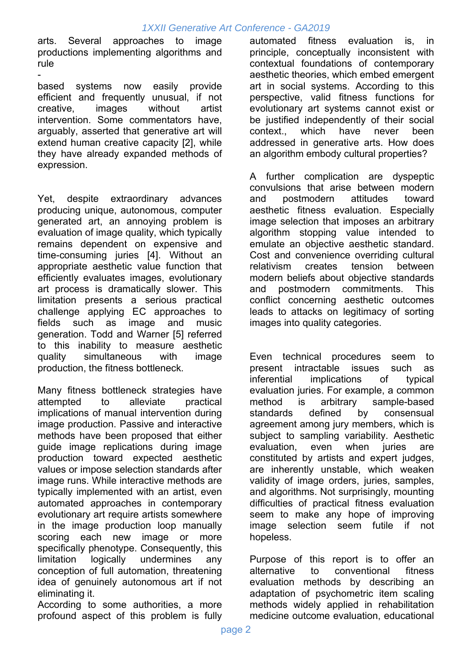arts. Several approaches to image productions implementing algorithms and rule

 based systems now easily provide efficient and frequently unusual, if not creative, images without artist intervention. Some commentators have, arguably, asserted that generative art will extend human creative capacity [2], while they have already expanded methods of expression.

Yet, despite extraordinary advances producing unique, autonomous, computer generated art, an annoying problem is evaluation of image quality, which typically remains dependent on expensive and time-consuming juries [4]. Without an appropriate aesthetic value function that efficiently evaluates images, evolutionary art process is dramatically slower. This limitation presents a serious practical challenge applying EC approaches to fields such as image and music generation. Todd and Warner [5] referred to this inability to measure aesthetic quality simultaneous with image production, the fitness bottleneck.

Many fitness bottleneck strategies have attempted to alleviate practical implications of manual intervention during image production. Passive and interactive methods have been proposed that either guide image replications during image production toward expected aesthetic values or impose selection standards after image runs. While interactive methods are typically implemented with an artist, even automated approaches in contemporary evolutionary art require artists somewhere in the image production loop manually scoring each new image or more specifically phenotype. Consequently, this limitation logically undermines any conception of full automation, threatening idea of genuinely autonomous art if not eliminating it.

According to some authorities, a more profound aspect of this problem is fully

automated fitness evaluation is, in principle, conceptually inconsistent with contextual foundations of contemporary aesthetic theories, which embed emergent art in social systems. According to this perspective, valid fitness functions for evolutionary art systems cannot exist or be justified independently of their social context., which have never been addressed in generative arts. How does an algorithm embody cultural properties?

A further complication are dyspeptic convulsions that arise between modern and postmodern attitudes toward aesthetic fitness evaluation. Especially image selection that imposes an arbitrary algorithm stopping value intended to emulate an objective aesthetic standard. Cost and convenience overriding cultural relativism creates tension between modern beliefs about objective standards and postmodern commitments. This conflict concerning aesthetic outcomes leads to attacks on legitimacy of sorting images into quality categories.

Even technical procedures seem to present intractable issues such as inferential implications of typical evaluation juries. For example, a common method is arbitrary sample-based standards defined by consensual agreement among jury members, which is subject to sampling variability. Aesthetic evaluation, even when juries are constituted by artists and expert judges, are inherently unstable, which weaken validity of image orders, juries, samples, and algorithms. Not surprisingly, mounting difficulties of practical fitness evaluation seem to make any hope of improving image selection seem futile if not hopeless.

Purpose of this report is to offer an alternative to conventional fitness evaluation methods by describing an adaptation of psychometric item scaling methods widely applied in rehabilitation medicine outcome evaluation, educational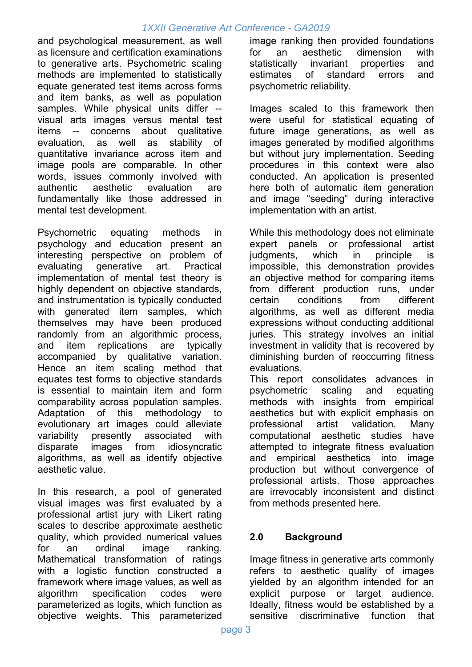and psychological measurement, as well as licensure and certification examinations to generative arts. Psychometric scaling methods are implemented to statistically equate generated test items across forms and item banks, as well as population samples. While physical units differ - visual arts images versus mental test items -- concerns about qualitative evaluation, as well as stability of quantitative invariance across item and image pools are comparable. In other words, issues commonly involved with authentic aesthetic evaluation are fundamentally like those addressed in mental test development.

Psychometric equating methods in psychology and education present an interesting perspective on problem of evaluating generative art. Practical implementation of mental test theory is highly dependent on objective standards, and instrumentation is typically conducted with generated item samples, which themselves may have been produced randomly from an algorithmic process, and item replications are typically accompanied by qualitative variation. Hence an item scaling method that equates test forms to objective standards is essential to maintain item and form comparability across population samples. Adaptation of this methodology to evolutionary art images could alleviate variability presently associated with disparate images from idiosyncratic algorithms, as well as identify objective aesthetic value.

In this research, a pool of generated visual images was first evaluated by a professional artist jury with Likert rating scales to describe approximate aesthetic quality, which provided numerical values for an ordinal image ranking. Mathematical transformation of ratings with a logistic function constructed a framework where image values, as well as algorithm specification codes were parameterized as logits, which function as objective weights. This parameterized

image ranking then provided foundations for an aesthetic dimension with statistically invariant properties and estimates of standard errors and psychometric reliability.

Images scaled to this framework then were useful for statistical equating of future image generations, as well as images generated by modified algorithms but without jury implementation. Seeding procedures in this context were also conducted. An application is presented here both of automatic item generation and image "seeding" during interactive implementation with an artist.

While this methodology does not eliminate expert panels or professional artist judgments, which in principle is impossible, this demonstration provides an objective method for comparing items from different production runs, under certain conditions from different algorithms, as well as different media expressions without conducting additional juries. This strategy involves an initial investment in validity that is recovered by diminishing burden of reoccurring fitness evaluations.

This report consolidates advances in psychometric scaling and equating methods with insights from empirical aesthetics but with explicit emphasis on professional artist validation. Many computational aesthetic studies have attempted to integrate fitness evaluation and empirical aesthetics into image production but without convergence of professional artists. Those approaches are irrevocably inconsistent and distinct from methods presented here.

# **2.0 Background**

Image fitness in generative arts commonly refers to aesthetic quality of images yielded by an algorithm intended for an explicit purpose or target audience. Ideally, fitness would be established by a sensitive discriminative function that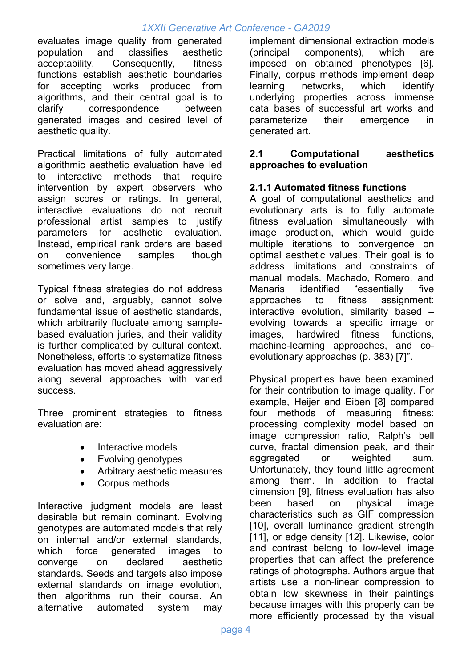evaluates image quality from generated population and classifies aesthetic acceptability. Consequently, fitness functions establish aesthetic boundaries for accepting works produced from algorithms, and their central goal is to clarify correspondence between generated images and desired level of aesthetic quality.

Practical limitations of fully automated algorithmic aesthetic evaluation have led to interactive methods that require intervention by expert observers who assign scores or ratings. In general, interactive evaluations do not recruit professional artist samples to justify parameters for aesthetic evaluation. Instead, empirical rank orders are based on convenience samples though sometimes very large.

Typical fitness strategies do not address or solve and, arguably, cannot solve fundamental issue of aesthetic standards, which arbitrarily fluctuate among samplebased evaluation juries, and their validity is further complicated by cultural context. Nonetheless, efforts to systematize fitness evaluation has moved ahead aggressively along several approaches with varied success.

Three prominent strategies to fitness evaluation are:

- Interactive models
- Evolving genotypes
- Arbitrary aesthetic measures
- Corpus methods

Interactive judgment models are least desirable but remain dominant. Evolving genotypes are automated models that rely on internal and/or external standards, which force generated images to converge on declared aesthetic standards. Seeds and targets also impose external standards on image evolution, then algorithms run their course. An alternative automated system may

implement dimensional extraction models (principal components), which are imposed on obtained phenotypes [6]. Finally, corpus methods implement deep learning networks, which identify underlying properties across immense data bases of successful art works and parameterize their emergence in generated art.

#### **2.1 Computational aesthetics approaches to evaluation**

#### **2.1.1 Automated fitness functions**

A goal of computational aesthetics and evolutionary arts is to fully automate fitness evaluation simultaneously with image production, which would guide multiple iterations to convergence on optimal aesthetic values. Their goal is to address limitations and constraints of manual models. Machado, Romero, and Manaris identified "essentially five approaches to fitness assignment: interactive evolution, similarity based – evolving towards a specific image or images, hardwired fitness functions, machine-learning approaches, and coevolutionary approaches (p. 383) [7]".

Physical properties have been examined for their contribution to image quality. For example, Heijer and Eiben [8] compared four methods of measuring fitness: processing complexity model based on image compression ratio, Ralph's bell curve, fractal dimension peak, and their aggregated or weighted sum. Unfortunately, they found little agreement among them. In addition to fractal dimension [9], fitness evaluation has also been based on physical image characteristics such as GIF compression [10], overall luminance gradient strength [11], or edge density [12]. Likewise, color and contrast belong to low-level image properties that can affect the preference ratings of photographs. Authors argue that artists use a non-linear compression to obtain low skewness in their paintings because images with this property can be more efficiently processed by the visual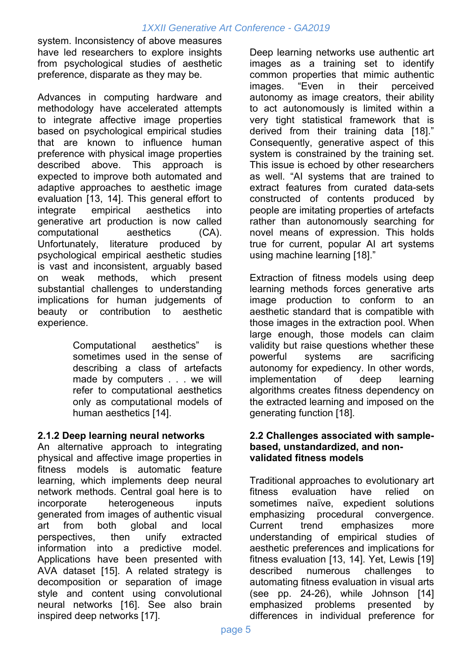system. Inconsistency of above measures have led researchers to explore insights from psychological studies of aesthetic preference, disparate as they may be.

Advances in computing hardware and methodology have accelerated attempts to integrate affective image properties based on psychological empirical studies that are known to influence human preference with physical image properties described above. This approach is expected to improve both automated and adaptive approaches to aesthetic image evaluation [13, 14]. This general effort to integrate empirical aesthetics into generative art production is now called computational aesthetics (CA). Unfortunately, literature produced by psychological empirical aesthetic studies is vast and inconsistent, arguably based on weak methods, which present substantial challenges to understanding implications for human judgements of beauty or contribution to aesthetic experience.

> Computational aesthetics" is sometimes used in the sense of describing a class of artefacts made by computers . . . we will refer to computational aesthetics only as computational models of human aesthetics [14].

#### **2.1.2 Deep learning neural networks**

An alternative approach to integrating physical and affective image properties in fitness models is automatic feature learning, which implements deep neural network methods. Central goal here is to incorporate heterogeneous inputs generated from images of authentic visual art from both global and local perspectives, then unify extracted information into a predictive model. Applications have been presented with AVA dataset [15]. A related strategy is decomposition or separation of image style and content using convolutional neural networks [16]. See also brain inspired deep networks [17].

Deep learning networks use authentic art images as a training set to identify common properties that mimic authentic images. "Even in their perceived autonomy as image creators, their ability to act autonomously is limited within a very tight statistical framework that is derived from their training data [18]." Consequently, generative aspect of this system is constrained by the training set. This issue is echoed by other researchers as well. "AI systems that are trained to extract features from curated data-sets constructed of contents produced by people are imitating properties of artefacts rather than autonomously searching for novel means of expression. This holds true for current, popular AI art systems using machine learning [18]."

Extraction of fitness models using deep learning methods forces generative arts image production to conform to an aesthetic standard that is compatible with those images in the extraction pool. When large enough, those models can claim validity but raise questions whether these powerful systems are sacrificing autonomy for expediency. In other words, implementation of deep learning algorithms creates fitness dependency on the extracted learning and imposed on the generating function [18].

#### **2.2 Challenges associated with samplebased, unstandardized, and nonvalidated fitness models**

Traditional approaches to evolutionary art fitness evaluation have relied on sometimes naïve, expedient solutions emphasizing procedural convergence. Current trend emphasizes more understanding of empirical studies of aesthetic preferences and implications for fitness evaluation [13, 14]. Yet, Lewis [19] described numerous challenges to automating fitness evaluation in visual arts (see pp. 24-26), while Johnson [14] emphasized problems presented by differences in individual preference for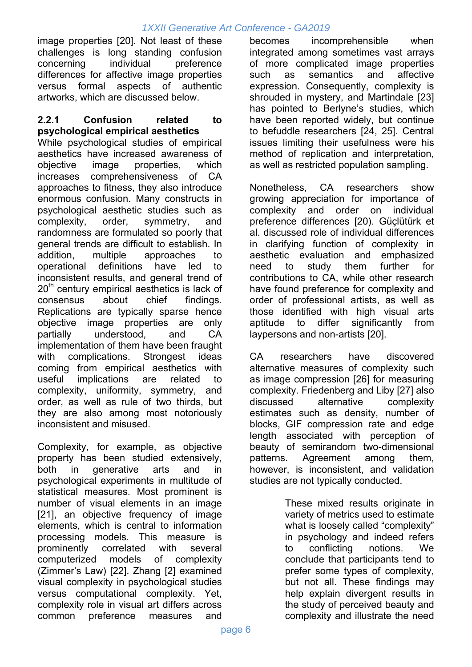image properties [20]. Not least of these challenges is long standing confusion concerning individual preference differences for affective image properties versus formal aspects of authentic artworks, which are discussed below.

#### **2.2.1 Confusion related to psychological empirical aesthetics**

While psychological studies of empirical aesthetics have increased awareness of objective image properties, which increases comprehensiveness of CA approaches to fitness, they also introduce enormous confusion. Many constructs in psychological aesthetic studies such as complexity, order, symmetry, and randomness are formulated so poorly that general trends are difficult to establish. In addition, multiple approaches to operational definitions have led to inconsistent results, and general trend of  $20<sup>th</sup>$  century empirical aesthetics is lack of consensus about chief findings. Replications are typically sparse hence objective image properties are only partially understood, and CA implementation of them have been fraught with complications. Strongest ideas coming from empirical aesthetics with useful implications are related to complexity, uniformity, symmetry, and order, as well as rule of two thirds, but they are also among most notoriously inconsistent and misused.

Complexity, for example, as objective property has been studied extensively, both in generative arts and in psychological experiments in multitude of statistical measures. Most prominent is number of visual elements in an image [21], an objective frequency of image elements, which is central to information processing models. This measure is prominently correlated with several computerized models of complexity (Zimmer's Law) [22]. Zhang [2] examined visual complexity in psychological studies versus computational complexity. Yet, complexity role in visual art differs across common preference measures and

becomes incomprehensible when integrated among sometimes vast arrays of more complicated image properties such as semantics and affective expression. Consequently, complexity is shrouded in mystery, and Martindale [23] has pointed to Berlyne's studies, which have been reported widely, but continue to befuddle researchers [24, 25]. Central issues limiting their usefulness were his method of replication and interpretation, as well as restricted population sampling.

Nonetheless, CA researchers show growing appreciation for importance of complexity and order on individual preference differences [20). Güçlütürk et al. discussed role of individual differences in clarifying function of complexity in aesthetic evaluation and emphasized need to study them further for contributions to CA, while other research have found preference for complexity and order of professional artists, as well as those identified with high visual arts aptitude to differ significantly from laypersons and non-artists [20].

CA researchers have discovered alternative measures of complexity such as image compression [26] for measuring complexity. Friedenberg and Liby [27] also discussed alternative complexity estimates such as density, number of blocks, GIF compression rate and edge length associated with perception of beauty of semirandom two-dimensional patterns. Agreement among them, however, is inconsistent, and validation studies are not typically conducted.

> These mixed results originate in variety of metrics used to estimate what is loosely called "complexity" in psychology and indeed refers to conflicting notions. We conclude that participants tend to prefer some types of complexity, but not all. These findings may help explain divergent results in the study of perceived beauty and complexity and illustrate the need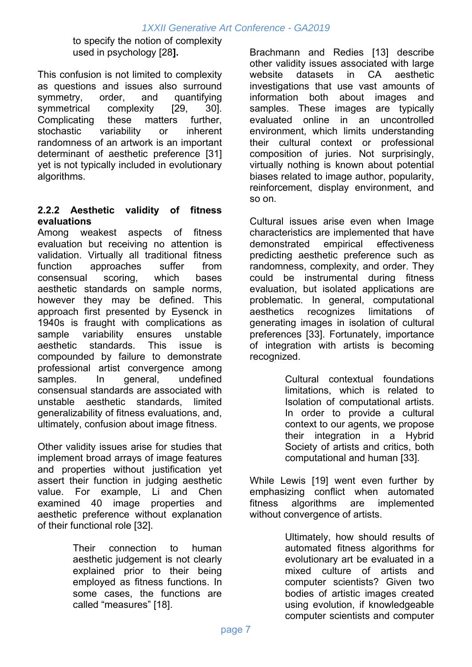to specify the notion of complexity used in psychology [28**].** 

This confusion is not limited to complexity as questions and issues also surround symmetry, order, and quantifying symmetrical complexity [29, 30]. Complicating these matters further, stochastic variability or inherent randomness of an artwork is an important determinant of aesthetic preference [31] yet is not typically included in evolutionary algorithms.

## **2.2.2 Aesthetic validity of fitness evaluations**

Among weakest aspects of fitness evaluation but receiving no attention is validation. Virtually all traditional fitness function approaches suffer from consensual scoring, which bases aesthetic standards on sample norms, however they may be defined. This approach first presented by Eysenck in 1940s is fraught with complications as sample variability ensures unstable aesthetic standards. This issue is compounded by failure to demonstrate professional artist convergence among samples. In general, undefined consensual standards are associated with unstable aesthetic standards, limited generalizability of fitness evaluations, and, ultimately, confusion about image fitness.

Other validity issues arise for studies that implement broad arrays of image features and properties without justification yet assert their function in judging aesthetic value. For example, Li and Chen examined 40 image properties and aesthetic preference without explanation of their functional role [32].

> Their connection to human aesthetic judgement is not clearly explained prior to their being employed as fitness functions. In some cases, the functions are called "measures" [18].

Brachmann and Redies [13] describe other validity issues associated with large website datasets in CA aesthetic investigations that use vast amounts of information both about images and samples. These images are typically evaluated online in an uncontrolled environment, which limits understanding their cultural context or professional composition of juries. Not surprisingly, virtually nothing is known about potential biases related to image author, popularity, reinforcement, display environment, and so on.

Cultural issues arise even when Image characteristics are implemented that have demonstrated empirical effectiveness predicting aesthetic preference such as randomness, complexity, and order. They could be instrumental during fitness evaluation, but isolated applications are problematic. In general, computational aesthetics recognizes limitations of generating images in isolation of cultural preferences [33]. Fortunately, importance of integration with artists is becoming recognized.

> Cultural contextual foundations limitations, which is related to Isolation of computational artists. In order to provide a cultural context to our agents, we propose their integration in a Hybrid Society of artists and critics, both computational and human [33].

While Lewis [19] went even further by emphasizing conflict when automated fitness algorithms are implemented without convergence of artists.

> Ultimately, how should results of automated fitness algorithms for evolutionary art be evaluated in a mixed culture of artists and computer scientists? Given two bodies of artistic images created using evolution, if knowledgeable computer scientists and computer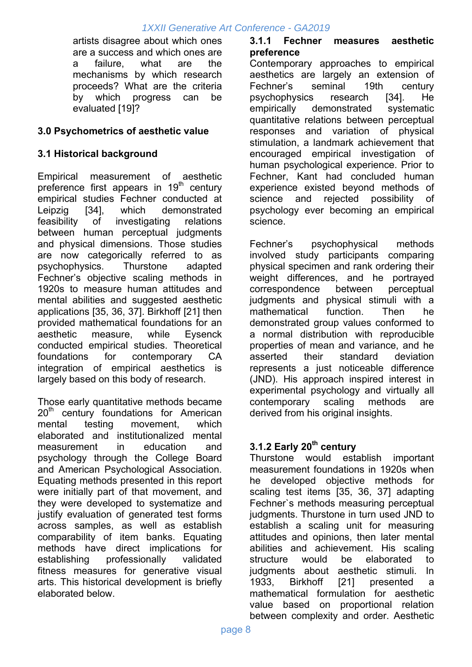artists disagree about which ones are a success and which ones are a failure, what are the mechanisms by which research proceeds? What are the criteria by which progress can be evaluated [19]?

## **3.0 Psychometrics of aesthetic value**

#### **3.1 Historical background**

Empirical measurement of aesthetic preference first appears in 19<sup>th</sup> century empirical studies Fechner conducted at Leipzig [34], which demonstrated feasibility of investigating relations between human perceptual judgments and physical dimensions. Those studies are now categorically referred to as psychophysics. Thurstone adapted Fechner's objective scaling methods in 1920s to measure human attitudes and mental abilities and suggested aesthetic applications [35, 36, 37]. Birkhoff [21] then provided mathematical foundations for an aesthetic measure, while Eysenck conducted empirical studies. Theoretical foundations for contemporary CA integration of empirical aesthetics is largely based on this body of research.

Those early quantitative methods became 20<sup>th</sup> century foundations for American mental testing movement, which elaborated and institutionalized mental measurement in education and psychology through the College Board and American Psychological Association. Equating methods presented in this report were initially part of that movement, and they were developed to systematize and justify evaluation of generated test forms across samples, as well as establish comparability of item banks. Equating methods have direct implications for establishing professionally validated fitness measures for generative visual arts. This historical development is briefly elaborated below.

#### **3.1.1 Fechner measures aesthetic preference**

Contemporary approaches to empirical aesthetics are largely an extension of Fechner's seminal 19th century psychophysics research [34]. He empirically demonstrated systematic quantitative relations between perceptual responses and variation of physical stimulation, a landmark achievement that encouraged empirical investigation of human psychological experience. Prior to Fechner, Kant had concluded human experience existed beyond methods of science and rejected possibility of psychology ever becoming an empirical science.

Fechner's psychophysical methods involved study participants comparing physical specimen and rank ordering their weight differences, and he portrayed correspondence between perceptual judgments and physical stimuli with a mathematical function. Then he demonstrated group values conformed to a normal distribution with reproducible properties of mean and variance, and he asserted their standard deviation represents a just noticeable difference (JND). His approach inspired interest in experimental psychology and virtually all contemporary scaling methods are derived from his original insights.

# **3.1.2 Early 20<sup>th</sup> century**

Thurstone would establish important measurement foundations in 1920s when he developed objective methods for scaling test items [35, 36, 37] adapting Fechner`s methods measuring perceptual judgments. Thurstone in turn used JND to establish a scaling unit for measuring attitudes and opinions, then later mental abilities and achievement. His scaling structure would be elaborated to judgments about aesthetic stimuli. In 1933, Birkhoff [21] presented a mathematical formulation for aesthetic value based on proportional relation between complexity and order. Aesthetic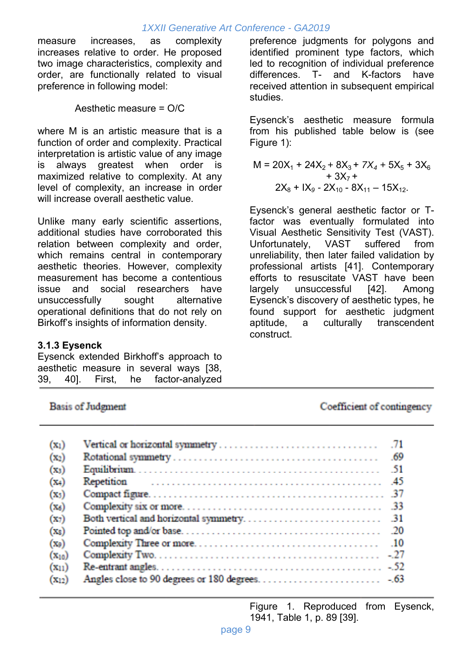measure increases, as complexity increases relative to order. He proposed two image characteristics, complexity and order, are functionally related to visual preference in following model:

Aesthetic measure = O/C

where M is an artistic measure that is a function of order and complexity. Practical interpretation is artistic value of any image is always greatest when order is maximized relative to complexity. At any level of complexity, an increase in order will increase overall aesthetic value.

Unlike many early scientific assertions, additional studies have corroborated this relation between complexity and order, which remains central in contemporary aesthetic theories. However, complexity measurement has become a contentious issue and social researchers have unsuccessfully sought alternative operational definitions that do not rely on Birkoff's insights of information density.

#### **3.1.3 Eysenck**

Eysenck extended Birkhoff's approach to aesthetic measure in several ways [38, 39, 40]. First, he factor-analyzed

preference judgments for polygons and identified prominent type factors, which led to recognition of individual preference differences. T- and K-factors have received attention in subsequent empirical studies.

Eysenck's aesthetic measure formula from his published table below is (see Figure 1):

$$
M = 20X_1 + 24X_2 + 8X_3 + 7X_4 + 5X_5 + 3X_6 + 3X_7 +
$$
  
+ 3X\_7 +  

$$
2X_8 + IX_9 - 2X_{10} - 8X_{11} - 15X_{12}.
$$

Eysenck's general aesthetic factor or Tfactor was eventually formulated into Visual Aesthetic Sensitivity Test (VAST). Unfortunately, VAST suffered from unreliability, then later failed validation by professional artists [41]. Contemporary efforts to resuscitate VAST have been largely unsuccessful [42]. Among Eysenck's discovery of aesthetic types, he found support for aesthetic judgment aptitude, a culturally transcendent construct.

**Basis of Judgment** 

Coefficient of contingency

| $(x_1)$    |  |
|------------|--|
| $(x_2)$    |  |
| $(x_3)$    |  |
| $(x_4)$    |  |
| $(x_3)$    |  |
| $(x_6)$    |  |
| $(x_7)$    |  |
| $(x_8)$    |  |
| $(x_9)$    |  |
| $(x_{10})$ |  |
| $(x_{11})$ |  |
| $(X_{12})$ |  |

 Figure 1. Reproduced from Eysenck, 1941, Table 1, p. 89 [39].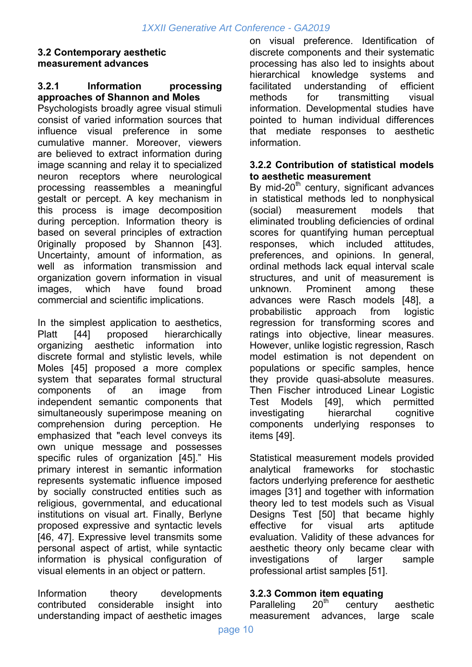#### **3.2 Contemporary aesthetic measurement advances**

#### **3.2.1 Information processing approaches of Shannon and Moles**

Psychologists broadly agree visual stimuli consist of varied information sources that influence visual preference in some cumulative manner. Moreover, viewers are believed to extract information during image scanning and relay it to specialized neuron receptors where neurological processing reassembles a meaningful gestalt or percept. A key mechanism in this process is image decomposition during perception. Information theory is based on several principles of extraction 0riginally proposed by Shannon [43]. Uncertainty, amount of information, as well as information transmission and organization govern information in visual images, which have found broad commercial and scientific implications.

In the simplest application to aesthetics, Platt [44] proposed hierarchically organizing aesthetic information into discrete formal and stylistic levels, while Moles [45] proposed a more complex system that separates formal structural components of an image from independent semantic components that simultaneously superimpose meaning on comprehension during perception. He emphasized that "each level conveys its own unique message and possesses specific rules of organization [45]." His primary interest in semantic information represents systematic influence imposed by socially constructed entities such as religious, governmental, and educational institutions on visual art. Finally, Berlyne proposed expressive and syntactic levels [46, 47]. Expressive level transmits some personal aspect of artist, while syntactic information is physical configuration of visual elements in an object or pattern.

Information theory developments contributed considerable insight into understanding impact of aesthetic images on visual preference. Identification of discrete components and their systematic processing has also led to insights about hierarchical knowledge systems and facilitated understanding of efficient methods for transmitting visual information. Developmental studies have pointed to human individual differences that mediate responses to aesthetic information.

#### **3.2.2 Contribution of statistical models to aesthetic measurement**

By mid-20 $<sup>th</sup>$  century, significant advances</sup> in statistical methods led to nonphysical (social) measurement models that eliminated troubling deficiencies of ordinal scores for quantifying human perceptual responses, which included attitudes, preferences, and opinions. In general, ordinal methods lack equal interval scale structures, and unit of measurement is unknown. Prominent among these advances were Rasch models [48], a probabilistic approach from logistic regression for transforming scores and ratings into objective, linear measures. However, unlike logistic regression, Rasch model estimation is not dependent on populations or specific samples, hence they provide quasi-absolute measures. Then Fischer introduced Linear Logistic Test Models [49], which permitted investigating hierarchal cognitive components underlying responses to items [49].

Statistical measurement models provided analytical frameworks for stochastic factors underlying preference for aesthetic images [31] and together with information theory led to test models such as Visual Designs Test [50] that became highly effective for visual arts aptitude evaluation. Validity of these advances for aesthetic theory only became clear with investigations of larger sample professional artist samples [51].

#### **3.2.3 Common item equating**

Paralleling  $20<sup>th</sup>$  century aesthetic measurement advances, large scale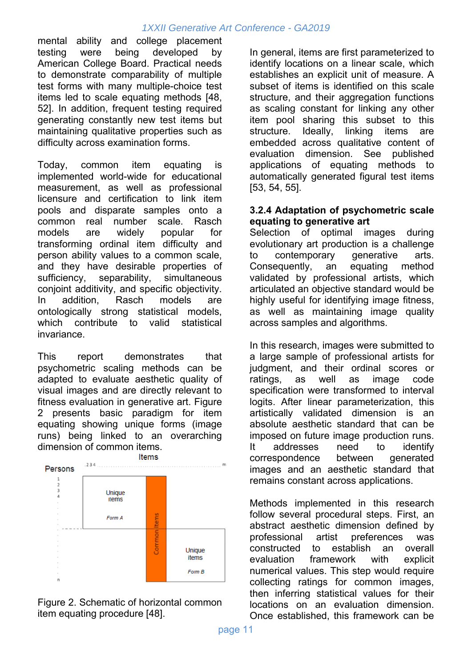mental ability and college placement testing were being developed by American College Board. Practical needs to demonstrate comparability of multiple test forms with many multiple-choice test items led to scale equating methods [48, 52]. In addition, frequent testing required generating constantly new test items but maintaining qualitative properties such as difficulty across examination forms.

Today, common item equating is implemented world-wide for educational measurement, as well as professional licensure and certification to link item pools and disparate samples onto a common real number scale. Rasch models are widely popular for transforming ordinal item difficulty and person ability values to a common scale, and they have desirable properties of sufficiency, separability, simultaneous conjoint additivity, and specific objectivity. In addition, Rasch models are ontologically strong statistical models, which contribute to valid statistical invariance.

This report demonstrates that psychometric scaling methods can be adapted to evaluate aesthetic quality of visual images and are directly relevant to fitness evaluation in generative art. Figure 2 presents basic paradigm for item equating showing unique forms (image runs) being linked to an overarching dimension of common items.



Figure 2. Schematic of horizontal common item equating procedure [48].

In general, items are first parameterized to identify locations on a linear scale, which establishes an explicit unit of measure. A subset of items is identified on this scale structure, and their aggregation functions as scaling constant for linking any other item pool sharing this subset to this structure. Ideally, linking items are embedded across qualitative content of evaluation dimension. See published applications of equating methods to automatically generated figural test items [53, 54, 55].

#### **3.2.4 Adaptation of psychometric scale equating to generative art**

Selection of optimal images during evolutionary art production is a challenge to contemporary generative arts. Consequently, an equating method validated by professional artists, which articulated an objective standard would be highly useful for identifying image fitness. as well as maintaining image quality across samples and algorithms.

In this research, images were submitted to a large sample of professional artists for judgment, and their ordinal scores or ratings, as well as image code specification were transformed to interval logits. After linear parameterization, this artistically validated dimension is an absolute aesthetic standard that can be imposed on future image production runs. It addresses need to identify correspondence between generated images and an aesthetic standard that remains constant across applications.

Methods implemented in this research follow several procedural steps. First, an abstract aesthetic dimension defined by professional artist preferences was constructed to establish an overall evaluation framework with explicit numerical values. This step would require collecting ratings for common images, then inferring statistical values for their locations on an evaluation dimension. Once established, this framework can be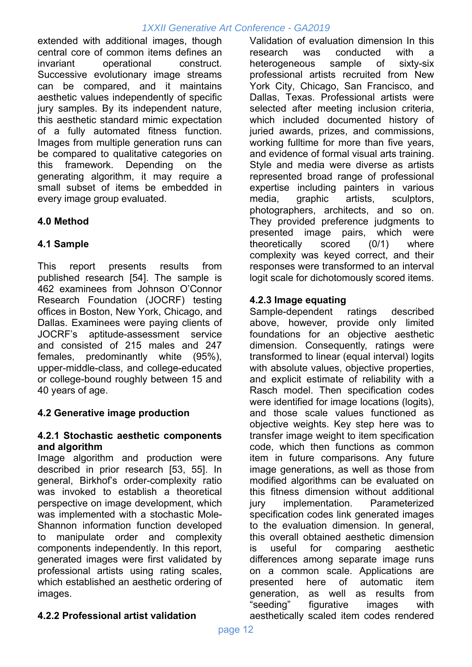extended with additional images, though central core of common items defines an invariant operational construct. Successive evolutionary image streams can be compared, and it maintains aesthetic values independently of specific jury samples. By its independent nature, this aesthetic standard mimic expectation of a fully automated fitness function. Images from multiple generation runs can be compared to qualitative categories on this framework. Depending on the generating algorithm, it may require a small subset of items be embedded in every image group evaluated.

# **4.0 Method**

# **4.1 Sample**

This report presents results from published research [54]. The sample is 462 examinees from Johnson O'Connor Research Foundation (JOCRF) testing offices in Boston, New York, Chicago, and Dallas. Examinees were paying clients of JOCRF's aptitude-assessment service and consisted of 215 males and 247 females, predominantly white (95%), upper-middle-class, and college-educated or college-bound roughly between 15 and 40 years of age.

# **4.2 Generative image production**

#### **4.2.1 Stochastic aesthetic components and algorithm**

Image algorithm and production were described in prior research [53, 55]. In general, Birkhof's order-complexity ratio was invoked to establish a theoretical perspective on image development, which was implemented with a stochastic Mole-Shannon information function developed to manipulate order and complexity components independently. In this report, generated images were first validated by professional artists using rating scales, which established an aesthetic ordering of images.

Validation of evaluation dimension In this research was conducted with a heterogeneous sample of sixty-six professional artists recruited from New York City, Chicago, San Francisco, and Dallas, Texas. Professional artists were selected after meeting inclusion criteria, which included documented history of juried awards, prizes, and commissions, working fulltime for more than five years, and evidence of formal visual arts training. Style and media were diverse as artists represented broad range of professional expertise including painters in various media, graphic artists, sculptors, photographers, architects, and so on. They provided preference judgments to presented image pairs, which were theoretically scored (0/1) where complexity was keyed correct, and their responses were transformed to an interval logit scale for dichotomously scored items.

# **4.2.3 Image equating**

Sample-dependent ratings described above, however, provide only limited foundations for an objective aesthetic dimension. Consequently, ratings were transformed to linear (equal interval) logits with absolute values, objective properties, and explicit estimate of reliability with a Rasch model. Then specification codes were identified for image locations (logits), and those scale values functioned as objective weights. Key step here was to transfer image weight to item specification code, which then functions as common item in future comparisons. Any future image generations, as well as those from modified algorithms can be evaluated on this fitness dimension without additional jury implementation. Parameterized specification codes link generated images to the evaluation dimension. In general, this overall obtained aesthetic dimension is useful for comparing aesthetic differences among separate image runs on a common scale. Applications are presented here of automatic item generation, as well as results from "seeding" figurative images with aesthetically scaled item codes rendered

#### **4.2.2 Professional artist validation**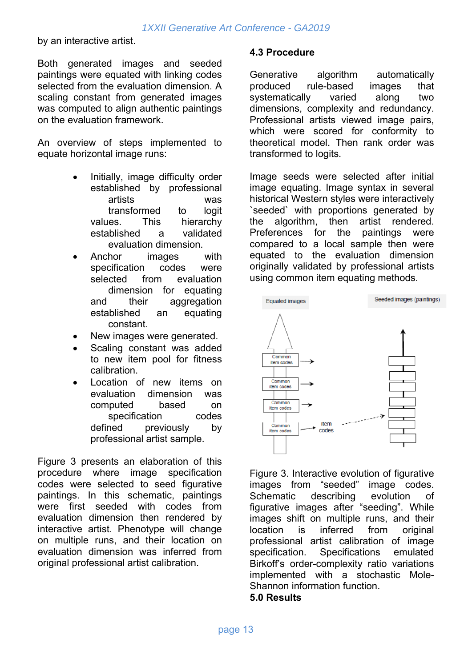by an interactive artist.

Both generated images and seeded paintings were equated with linking codes selected from the evaluation dimension. A scaling constant from generated images was computed to align authentic paintings on the evaluation framework.

An overview of steps implemented to equate horizontal image runs:

- Initially, image difficulty order established by professional artists was transformed to logit values. This hierarchy established a validated evaluation dimension.
- Anchor images with specification codes were selected from evaluation dimension for equating and their aggregation established an equating constant.
- New images were generated.
- Scaling constant was added to new item pool for fitness calibration.
- Location of new items on evaluation dimension was computed based on specification codes defined previously by professional artist sample.

Figure 3 presents an elaboration of this procedure where image specification codes were selected to seed figurative paintings. In this schematic, paintings were first seeded with codes from evaluation dimension then rendered by interactive artist. Phenotype will change on multiple runs, and their location on evaluation dimension was inferred from original professional artist calibration.

#### **4.3 Procedure**

Generative algorithm automatically produced rule-based images that systematically varied along two dimensions, complexity and redundancy. Professional artists viewed image pairs, which were scored for conformity to theoretical model. Then rank order was transformed to logits.

Image seeds were selected after initial image equating. Image syntax in several historical Western styles were interactively `seeded` with proportions generated by the algorithm, then artist rendered. Preferences for the paintings were compared to a local sample then were equated to the evaluation dimension originally validated by professional artists using common item equating methods.



Figure 3. Interactive evolution of figurative images from "seeded" image codes. Schematic describing evolution of figurative images after "seeding". While images shift on multiple runs, and their location is inferred from original professional artist calibration of image specification. Specifications emulated Birkoff's order-complexity ratio variations implemented with a stochastic Mole-Shannon information function.

#### **5.0 Results**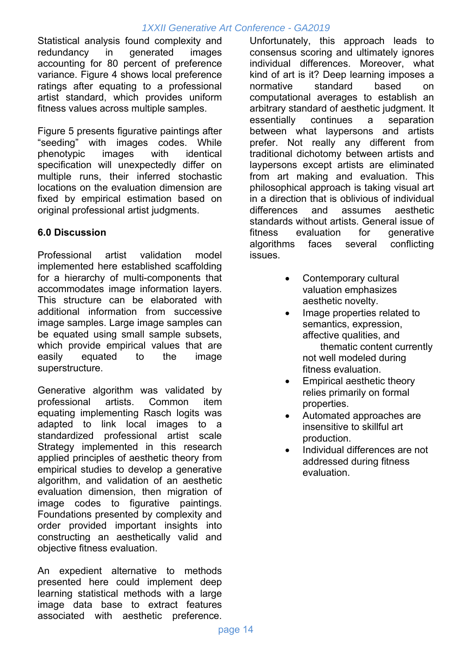Statistical analysis found complexity and redundancy in generated images accounting for 80 percent of preference variance. Figure 4 shows local preference ratings after equating to a professional artist standard, which provides uniform fitness values across multiple samples.

Figure 5 presents figurative paintings after "seeding" with images codes. While phenotypic images with identical specification will unexpectedly differ on multiple runs, their inferred stochastic locations on the evaluation dimension are fixed by empirical estimation based on original professional artist judgments.

## **6.0 Discussion**

Professional artist validation model implemented here established scaffolding for a hierarchy of multi-components that accommodates image information layers. This structure can be elaborated with additional information from successive image samples. Large image samples can be equated using small sample subsets, which provide empirical values that are easily equated to the image superstructure.

Generative algorithm was validated by professional artists. Common item equating implementing Rasch logits was adapted to link local images to a standardized professional artist scale Strategy implemented in this research applied principles of aesthetic theory from empirical studies to develop a generative algorithm, and validation of an aesthetic evaluation dimension, then migration of image codes to figurative paintings. Foundations presented by complexity and order provided important insights into constructing an aesthetically valid and objective fitness evaluation.

An expedient alternative to methods presented here could implement deep learning statistical methods with a large image data base to extract features associated with aesthetic preference.

Unfortunately, this approach leads to consensus scoring and ultimately ignores individual differences. Moreover, what kind of art is it? Deep learning imposes a normative standard based on computational averages to establish an arbitrary standard of aesthetic judgment. It essentially continues a separation between what laypersons and artists prefer. Not really any different from traditional dichotomy between artists and laypersons except artists are eliminated from art making and evaluation. This philosophical approach is taking visual art in a direction that is oblivious of individual differences and assumes aesthetic standards without artists. General issue of fitness evaluation for generative algorithms faces several conflicting issues.

- Contemporary cultural valuation emphasizes aesthetic novelty.
- Image properties related to semantics, expression, affective qualities, and thematic content currently not well modeled during fitness evaluation.
- Empirical aesthetic theory relies primarily on formal properties.
- Automated approaches are insensitive to skillful art production.
- Individual differences are not addressed during fitness evaluation.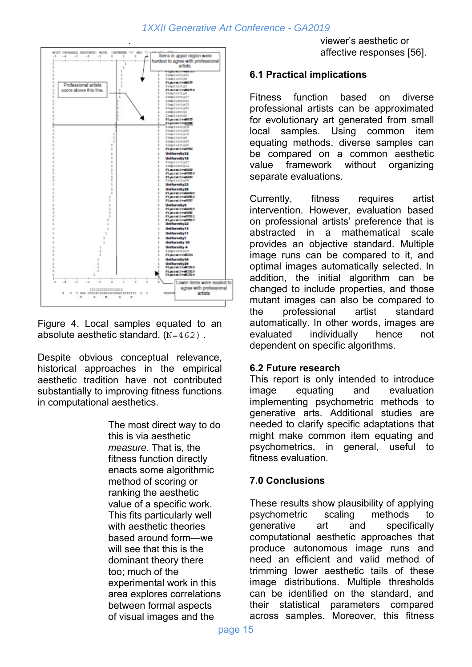

Figure 4. Local samples equated to an absolute aesthetic standard.  $(N=462)$ .

Despite obvious conceptual relevance, historical approaches in the empirical aesthetic tradition have not contributed substantially to improving fitness functions in computational aesthetics.

> The most direct way to do this is via aesthetic *measure*. That is, the fitness function directly enacts some algorithmic method of scoring or ranking the aesthetic value of a specific work. This fits particularly well with aesthetic theories based around form—we will see that this is the dominant theory there too; much of the experimental work in this area explores correlations between formal aspects of visual images and the

viewer's aesthetic or affective responses [56].

#### **6.1 Practical implications**

Fitness function based on diverse professional artists can be approximated for evolutionary art generated from small local samples. Using common item equating methods, diverse samples can be compared on a common aesthetic value framework without organizing separate evaluations.

Currently, fitness requires artist intervention. However, evaluation based on professional artists' preference that is abstracted in a mathematical scale provides an objective standard. Multiple image runs can be compared to it, and optimal images automatically selected. In addition, the initial algorithm can be changed to include properties, and those mutant images can also be compared to the professional artist standard automatically. In other words, images are evaluated individually hence not dependent on specific algorithms.

#### **6.2 Future research**

This report is only intended to introduce image equating and evaluation implementing psychometric methods to generative arts. Additional studies are needed to clarify specific adaptations that might make common item equating and psychometrics, in general, useful to fitness evaluation.

# **7.0 Conclusions**

These results show plausibility of applying psychometric scaling methods to generative art and specifically computational aesthetic approaches that produce autonomous image runs and need an efficient and valid method of trimming lower aesthetic tails of these image distributions. Multiple thresholds can be identified on the standard, and their statistical parameters compared across samples. Moreover, this fitness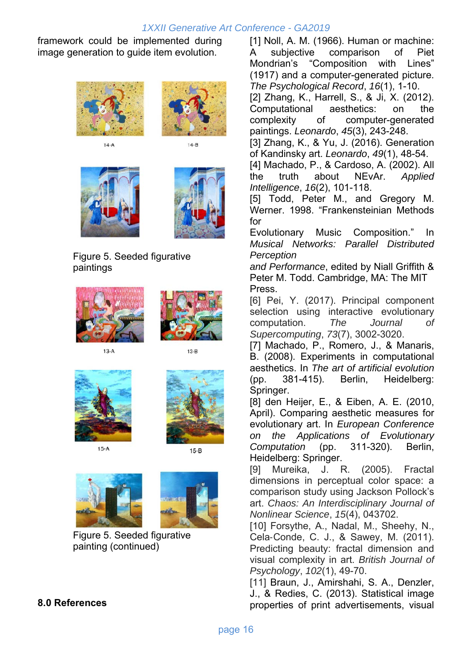framework could be implemented during image generation to guide item evolution.



 $14-A$ 



 $14 - B$ 





Figure 5. Seeded figurative paintings





 $13-A$ 





 $15-A$ 



 $15-B$ 





Figure 5. Seeded figurative painting (continued)

#### **8.0 References**

[1] Noll, A. M. (1966). Human or machine: A subjective comparison of Piet Mondrian's "Composition with Lines" (1917) and a computer-generated picture. *The Psychological Record*, *16*(1), 1-10.

[2] Zhang, K., Harrell, S., & Ji, X. (2012). Computational aesthetics: on the complexity of computer-generated paintings. *Leonardo*, *45*(3), 243-248.

[3] Zhang, K., & Yu, J. (2016). Generation of Kandinsky art. *Leonardo*, *49*(1), 48-54.

[4] Machado, P., & Cardoso, A. (2002). All the truth about NEvAr. *Applied Intelligence*, *16*(2), 101-118.

[5] Todd, Peter M., and Gregory M. Werner. 1998. "Frankensteinian Methods for

Evolutionary Music Composition." In *Musical Networks: Parallel Distributed Perception* 

*and Performance*, edited by Niall Griffith & Peter M. Todd. Cambridge, MA: The MIT Press.

[6] Pei, Y. (2017). Principal component selection using interactive evolutionary computation. *The Journal of Supercomputing*, *73*(7), 3002-3020.

[7] Machado, P., Romero, J., & Manaris, B. (2008). Experiments in computational aesthetics. In *The art of artificial evolution* (pp. 381-415). Berlin, Heidelberg: Springer.

[8] den Heijer, E., & Eiben, A. E. (2010, April). Comparing aesthetic measures for evolutionary art. In *European Conference on the Applications of Evolutionary Computation* (pp. 311-320). Berlin, Heidelberg: Springer.

[9] Mureika, J. R. (2005). Fractal dimensions in perceptual color space: a comparison study using Jackson Pollock's art. *Chaos: An Interdisciplinary Journal of Nonlinear Science*, *15*(4), 043702.

[10] Forsythe, A., Nadal, M., Sheehy, N., Cela-Conde, C. J., & Sawey, M. (2011). Predicting beauty: fractal dimension and visual complexity in art. *British Journal of Psychology*, *102*(1), 49-70.

[11] Braun, J., Amirshahi, S. A., Denzler, J., & Redies, C. (2013). Statistical image properties of print advertisements, visual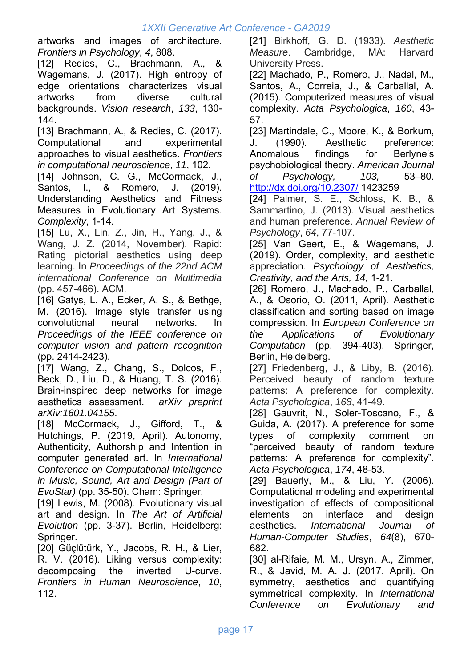artworks and images of architecture. *Frontiers in Psychology*, *4*, 808.

[12] Redies, C., Brachmann, A., & Wagemans, J. (2017). High entropy of edge orientations characterizes visual artworks from diverse cultural backgrounds. *Vision research*, *133*, 130- 144.

[13] Brachmann, A., & Redies, C. (2017). Computational and experimental approaches to visual aesthetics. *Frontiers in computational neuroscience*, *11*, 102.

[14] Johnson, C. G., McCormack, J., Santos, I., & Romero, J. (2019). Understanding Aesthetics and Fitness Measures in Evolutionary Art Systems. *Complexity*, 1-14.

[15] Lu, X., Lin, Z., Jin, H., Yang, J., & Wang, J. Z. (2014, November). Rapid: Rating pictorial aesthetics using deep learning. In *Proceedings of the 22nd ACM international Conference on Multimedia* (pp. 457-466). ACM.

[16] Gatys, L. A., Ecker, A. S., & Bethge, M. (2016). Image style transfer using convolutional neural networks. In *Proceedings of the IEEE conference on computer vision and pattern recognition* (pp. 2414-2423).

[17] Wang, Z., Chang, S., Dolcos, F., Beck, D., Liu, D., & Huang, T. S. (2016). Brain-inspired deep networks for image aesthetics assessment. *arXiv preprint arXiv:1601.04155*.

[18] McCormack, J., Gifford, T., & Hutchings, P. (2019, April). Autonomy, Authenticity, Authorship and Intention in computer generated art. In *International Conference on Computational Intelligence in Music, Sound, Art and Design (Part of EvoStar)* (pp. 35-50). Cham: Springer.

[19] Lewis, M. (2008). Evolutionary visual art and design. In *The Art of Artificial Evolution* (pp. 3-37). Berlin, Heidelberg: Springer.

[20] Güçlütürk, Y., Jacobs, R. H., & Lier, R. V. (2016). Liking versus complexity: decomposing the inverted U-curve. *Frontiers in Human Neuroscience*, *10*, 112.

[21] Birkhoff, G. D. (1933). *Aesthetic Measure*. Cambridge, MA: Harvard University Press.

[22] Machado, P., Romero, J., Nadal, M., Santos, A., Correia, J., & Carballal, A. (2015). Computerized measures of visual complexity. *Acta Psychologica*, *160*, 43- 57.

[23] Martindale, C., Moore, K., & Borkum, J. (1990). Aesthetic preference: Anomalous findings for Berlyne's psychobiological theory. *American Journal of Psychology, 103,* 53–80. http://dx.doi.org/10.2307/ 1423259

[24] Palmer, S. E., Schloss, K. B., & Sammartino, J. (2013). Visual aesthetics and human preference. *Annual Review of Psychology*, *64*, 77-107.

[25] Van Geert, E., & Wagemans, J. (2019). Order, complexity, and aesthetic appreciation. *Psychology of Aesthetics, Creativity, and the Arts, 14,* 1-21.

[26] Romero, J., Machado, P., Carballal, A., & Osorio, O. (2011, April). Aesthetic classification and sorting based on image compression. In *European Conference on the Applications of Evolutionary Computation* (pp. 394-403). Springer, Berlin, Heidelberg.

[27] Friedenberg, J., & Liby, B. (2016). Perceived beauty of random texture patterns: A preference for complexity. *Acta Psychologica*, *168*, 41-49.

[28] Gauvrit, N., Soler-Toscano, F., & Guida, A. (2017). A preference for some types of complexity comment on "perceived beauty of random texture patterns: A preference for complexity". *Acta Psychologica*, *174*, 48-53.

[29] Bauerly, M., & Liu, Y. (2006). Computational modeling and experimental investigation of effects of compositional elements on interface and design aesthetics. *International Journal of Human-Computer Studies*, *64*(8), 670- 682.

[30] al-Rifaie, M. M., Ursyn, A., Zimmer, R., & Javid, M. A. J. (2017, April). On symmetry, aesthetics and quantifying symmetrical complexity. In *International Conference on Evolutionary and*